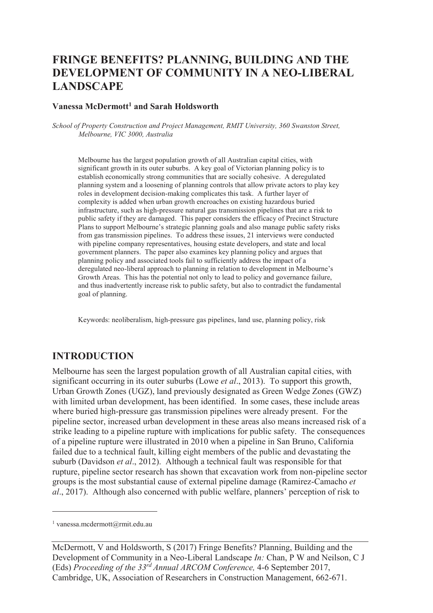# **FRINGE BENEFITS? PLANNING, BUILDING AND THE DEVELOPMENT OF COMMUNITY IN A NEO-LIBERAL LANDSCAPE**

#### **Vanessa McDermott<sup>1</sup> and Sarah Holdsworth**

*School of Property Construction and Project Management, RMIT University, 360 Swanston Street, Melbourne, VIC 3000, Australia* 

Melbourne has the largest population growth of all Australian capital cities, with significant growth in its outer suburbs. A key goal of Victorian planning policy is to establish economically strong communities that are socially cohesive. A deregulated planning system and a loosening of planning controls that allow private actors to play key roles in development decision-making complicates this task. A further layer of complexity is added when urban growth encroaches on existing hazardous buried infrastructure, such as high-pressure natural gas transmission pipelines that are a risk to public safety if they are damaged. This paper considers the efficacy of Precinct Structure Plans to support Melbourne's strategic planning goals and also manage public safety risks from gas transmission pipelines. To address these issues, 21 interviews were conducted with pipeline company representatives, housing estate developers, and state and local government planners. The paper also examines key planning policy and argues that planning policy and associated tools fail to sufficiently address the impact of a deregulated neo-liberal approach to planning in relation to development in Melbourne's Growth Areas. This has the potential not only to lead to policy and governance failure, and thus inadvertently increase risk to public safety, but also to contradict the fundamental goal of planning.

Keywords: neoliberalism, high-pressure gas pipelines, land use, planning policy, risk

### **INTRODUCTION**

Melbourne has seen the largest population growth of all Australian capital cities, with significant occurring in its outer suburbs (Lowe *et al*., 2013). To support this growth, Urban Growth Zones (UGZ), land previously designated as Green Wedge Zones (GWZ) with limited urban development, has been identified. In some cases, these include areas where buried high-pressure gas transmission pipelines were already present. For the pipeline sector, increased urban development in these areas also means increased risk of a strike leading to a pipeline rupture with implications for public safety. The consequences of a pipeline rupture were illustrated in 2010 when a pipeline in San Bruno, California failed due to a technical fault, killing eight members of the public and devastating the suburb (Davidson *et al*., 2012). Although a technical fault was responsible for that rupture, pipeline sector research has shown that excavation work from non-pipeline sector groups is the most substantial cause of external pipeline damage (Ramirez-Camacho *et al*., 2017). Although also concerned with public welfare, planners' perception of risk to

-

<sup>1</sup> vanessa.mcdermott@rmit.edu.au

McDermott, V and Holdsworth, S (2017) Fringe Benefits? Planning, Building and the Development of Community in a Neo-Liberal Landscape *In:* Chan, P W and Neilson, C J (Eds) *Proceeding of the 33rd Annual ARCOM Conference,* 4-6 September 2017, Cambridge, UK, Association of Researchers in Construction Management, 662-671.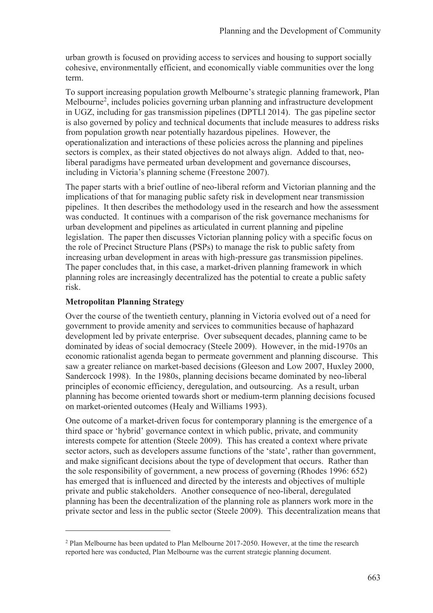urban growth is focused on providing access to services and housing to support socially cohesive, environmentally efficient, and economically viable communities over the long term.

To support increasing population growth Melbourne's strategic planning framework, Plan Melbourne<sup>2</sup>, includes policies governing urban planning and infrastructure development in UGZ, including for gas transmission pipelines (DPTLI 2014). The gas pipeline sector is also governed by policy and technical documents that include measures to address risks from population growth near potentially hazardous pipelines. However, the operationalization and interactions of these policies across the planning and pipelines sectors is complex, as their stated objectives do not always align. Added to that, neoliberal paradigms have permeated urban development and governance discourses, including in Victoria's planning scheme (Freestone 2007).

The paper starts with a brief outline of neo-liberal reform and Victorian planning and the implications of that for managing public safety risk in development near transmission pipelines. It then describes the methodology used in the research and how the assessment was conducted. It continues with a comparison of the risk governance mechanisms for urban development and pipelines as articulated in current planning and pipeline legislation. The paper then discusses Victorian planning policy with a specific focus on the role of Precinct Structure Plans (PSPs) to manage the risk to public safety from increasing urban development in areas with high-pressure gas transmission pipelines. The paper concludes that, in this case, a market-driven planning framework in which planning roles are increasingly decentralized has the potential to create a public safety risk.

#### **Metropolitan Planning Strategy**

 $\overline{a}$ 

Over the course of the twentieth century, planning in Victoria evolved out of a need for government to provide amenity and services to communities because of haphazard development led by private enterprise. Over subsequent decades, planning came to be dominated by ideas of social democracy (Steele 2009). However, in the mid-1970s an economic rationalist agenda began to permeate government and planning discourse. This saw a greater reliance on market-based decisions (Gleeson and Low 2007, Huxley 2000, Sandercock 1998). In the 1980s, planning decisions became dominated by neo-liberal principles of economic efficiency, deregulation, and outsourcing. As a result, urban planning has become oriented towards short or medium-term planning decisions focused on market-oriented outcomes (Healy and Williams 1993).

One outcome of a market-driven focus for contemporary planning is the emergence of a third space or 'hybrid' governance context in which public, private, and community interests compete for attention (Steele 2009). This has created a context where private sector actors, such as developers assume functions of the 'state', rather than government, and make significant decisions about the type of development that occurs. Rather than the sole responsibility of government, a new process of governing (Rhodes 1996: 652) has emerged that is influenced and directed by the interests and objectives of multiple private and public stakeholders. Another consequence of neo-liberal, deregulated planning has been the decentralization of the planning role as planners work more in the private sector and less in the public sector (Steele 2009). This decentralization means that

<sup>&</sup>lt;sup>2</sup> Plan Melbourne has been updated to Plan Melbourne 2017-2050. However, at the time the research reported here was conducted, Plan Melbourne was the current strategic planning document.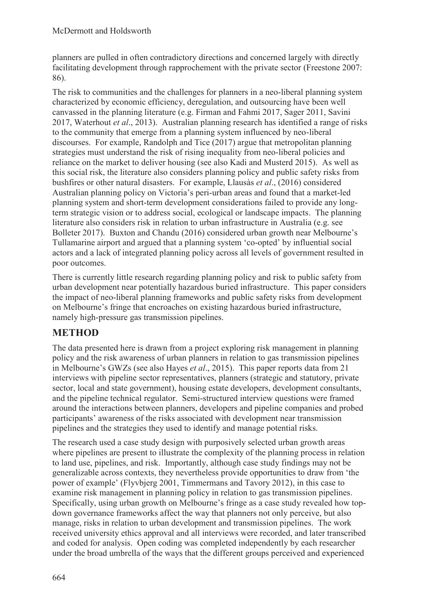planners are pulled in often contradictory directions and concerned largely with directly facilitating development through rapprochement with the private sector (Freestone 2007: 86).

The risk to communities and the challenges for planners in a neo-liberal planning system characterized by economic efficiency, deregulation, and outsourcing have been well canvassed in the planning literature (e.g. Firman and Fahmi 2017, Sager 2011, Savini 2017, Waterhout *et al*., 2013). Australian planning research has identified a range of risks to the community that emerge from a planning system influenced by neo-liberal discourses. For example, Randolph and Tice (2017) argue that metropolitan planning strategies must understand the risk of rising inequality from neo-liberal policies and reliance on the market to deliver housing (see also Kadi and Musterd 2015). As well as this social risk, the literature also considers planning policy and public safety risks from bushfires or other natural disasters. For example, Llausàs *et al*., (2016) considered Australian planning policy on Victoria's peri-urban areas and found that a market-led planning system and short-term development considerations failed to provide any longterm strategic vision or to address social, ecological or landscape impacts. The planning literature also considers risk in relation to urban infrastructure in Australia (e.g. see Bolleter 2017). Buxton and Chandu (2016) considered urban growth near Melbourne's Tullamarine airport and argued that a planning system 'co-opted' by influential social actors and a lack of integrated planning policy across all levels of government resulted in poor outcomes.

There is currently little research regarding planning policy and risk to public safety from urban development near potentially hazardous buried infrastructure. This paper considers the impact of neo-liberal planning frameworks and public safety risks from development on Melbourne's fringe that encroaches on existing hazardous buried infrastructure, namely high-pressure gas transmission pipelines.

## **METHOD**

The data presented here is drawn from a project exploring risk management in planning policy and the risk awareness of urban planners in relation to gas transmission pipelines in Melbourne's GWZs (see also Hayes *et al*., 2015). This paper reports data from 21 interviews with pipeline sector representatives, planners (strategic and statutory, private sector, local and state government), housing estate developers, development consultants, and the pipeline technical regulator. Semi-structured interview questions were framed around the interactions between planners, developers and pipeline companies and probed participants' awareness of the risks associated with development near transmission pipelines and the strategies they used to identify and manage potential risks.

The research used a case study design with purposively selected urban growth areas where pipelines are present to illustrate the complexity of the planning process in relation to land use, pipelines, and risk. Importantly, although case study findings may not be generalizable across contexts, they nevertheless provide opportunities to draw from 'the power of example' (Flyvbjerg 2001, Timmermans and Tavory 2012), in this case to examine risk management in planning policy in relation to gas transmission pipelines. Specifically, using urban growth on Melbourne's fringe as a case study revealed how topdown governance frameworks affect the way that planners not only perceive, but also manage, risks in relation to urban development and transmission pipelines. The work received university ethics approval and all interviews were recorded, and later transcribed and coded for analysis. Open coding was completed independently by each researcher under the broad umbrella of the ways that the different groups perceived and experienced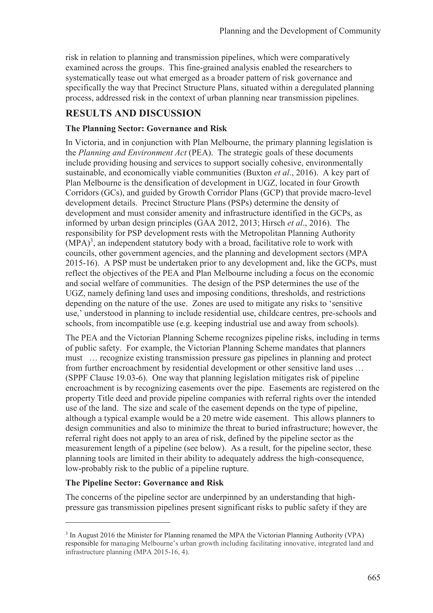risk in relation to planning and transmission pipelines, which were comparatively examined across the groups. This fine-grained analysis enabled the researchers to systematically tease out what emerged as a broader pattern of risk governance and specifically the way that Precinct Structure Plans, situated within a deregulated planning process, addressed risk in the context of urban planning near transmission pipelines.

## **RESULTS AND DISCUSSION**

#### **The Planning Sector: Governance and Risk**

In Victoria, and in conjunction with Plan Melbourne, the primary planning legislation is the *Planning and Environment Act* (PEA). The strategic goals of these documents include providing housing and services to support socially cohesive, environmentally sustainable, and economically viable communities (Buxton *et al*., 2016). A key part of Plan Melbourne is the densification of development in UGZ, located in four Growth Corridors (GCs), and guided by Growth Corridor Plans (GCP) that provide macro-level development details. Precinct Structure Plans (PSPs) determine the density of development and must consider amenity and infrastructure identified in the GCPs, as informed by urban design principles (GAA 2012, 2013; Hirsch *et al*., 2016). The responsibility for PSP development rests with the Metropolitan Planning Authority  $(MPA)<sup>3</sup>$ , an independent statutory body with a broad, facilitative role to work with councils, other government agencies, and the planning and development sectors (MPA 2015-16). A PSP must be undertaken prior to any development and, like the GCPs, must reflect the objectives of the PEA and Plan Melbourne including a focus on the economic and social welfare of communities. The design of the PSP determines the use of the UGZ, namely defining land uses and imposing conditions, thresholds, and restrictions depending on the nature of the use. Zones are used to mitigate any risks to 'sensitive use,' understood in planning to include residential use, childcare centres, pre-schools and schools, from incompatible use (e.g. keeping industrial use and away from schools).

The PEA and the Victorian Planning Scheme recognizes pipeline risks, including in terms of public safety. For example, the Victorian Planning Scheme mandates that planners must … recognize existing transmission pressure gas pipelines in planning and protect from further encroachment by residential development or other sensitive land uses … (SPPF Clause 19.03-6). One way that planning legislation mitigates risk of pipeline encroachment is by recognizing easements over the pipe. Easements are registered on the property Title deed and provide pipeline companies with referral rights over the intended use of the land. The size and scale of the easement depends on the type of pipeline, although a typical example would be a 20 metre wide easement. This allows planners to design communities and also to minimize the threat to buried infrastructure; however, the referral right does not apply to an area of risk, defined by the pipeline sector as the measurement length of a pipeline (see below). As a result, for the pipeline sector, these planning tools are limited in their ability to adequately address the high-consequence, low-probably risk to the public of a pipeline rupture.

### **The Pipeline Sector: Governance and Risk**

 $\overline{a}$ 

The concerns of the pipeline sector are underpinned by an understanding that highpressure gas transmission pipelines present significant risks to public safety if they are

<sup>&</sup>lt;sup>3</sup> In August 2016 the Minister for Planning renamed the MPA the Victorian Planning Authority (VPA) responsible for managing Melbourne's urban growth including facilitating innovative, integrated land and infrastructure planning (MPA 2015-16, 4).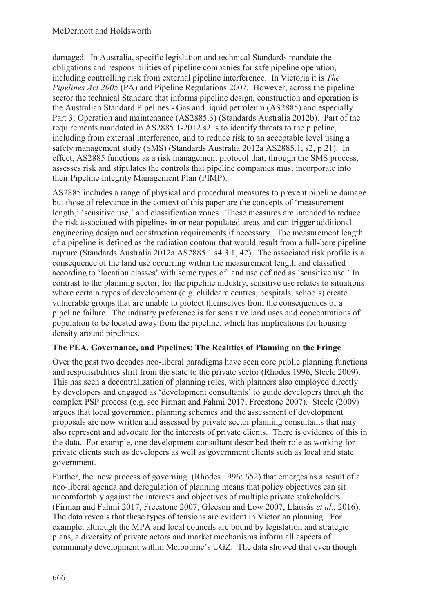damaged. In Australia, specific legislation and technical Standards mandate the obligations and responsibilities of pipeline companies for safe pipeline operation, including controlling risk from external pipeline interference. In Victoria it is *The Pipelines Act 2005* (PA) and Pipeline Regulations 2007. However, across the pipeline sector the technical Standard that informs pipeline design, construction and operation is the Australian Standard Pipelines - Gas and liquid petroleum (AS2885) and especially Part 3: Operation and maintenance (AS2885.3) (Standards Australia 2012b). Part of the requirements mandated in AS2885.1-2012 s2 is to identify threats to the pipeline, including from external interference, and to reduce risk to an acceptable level using a safety management study (SMS) (Standards Australia 2012a AS2885.1, s2, p 21). In effect, AS2885 functions as a risk management protocol that, through the SMS process, assesses risk and stipulates the controls that pipeline companies must incorporate into their Pipeline Integrity Management Plan (PIMP).

AS2885 includes a range of physical and procedural measures to prevent pipeline damage but those of relevance in the context of this paper are the concepts of 'measurement length,' 'sensitive use,' and classification zones. These measures are intended to reduce the risk associated with pipelines in or near populated areas and can trigger additional engineering design and construction requirements if necessary. The measurement length of a pipeline is defined as the radiation contour that would result from a full-bore pipeline rupture (Standards Australia 2012a AS2885.1 s4.3.1, 42). The associated risk profile is a consequence of the land use occurring within the measurement length and classified according to 'location classes' with some types of land use defined as 'sensitive use.' In contrast to the planning sector, for the pipeline industry, sensitive use relates to situations where certain types of development (e.g. childcare centres, hospitals, schools) create vulnerable groups that are unable to protect themselves from the consequences of a pipeline failure. The industry preference is for sensitive land uses and concentrations of population to be located away from the pipeline, which has implications for housing density around pipelines.

### **The PEA, Governance, and Pipelines: The Realities of Planning on the Fringe**

Over the past two decades neo-liberal paradigms have seen core public planning functions and responsibilities shift from the state to the private sector (Rhodes 1996, Steele 2009). This has seen a decentralization of planning roles, with planners also employed directly by developers and engaged as 'development consultants' to guide developers through the complex PSP process (e.g. see Firman and Fahmi 2017, Freestone 2007). Steele (2009) argues that local government planning schemes and the assessment of development proposals are now written and assessed by private sector planning consultants that may also represent and advocate for the interests of private clients. There is evidence of this in the data. For example, one development consultant described their role as working for private clients such as developers as well as government clients such as local and state government.

Further, the new process of governing (Rhodes 1996: 652) that emerges as a result of a neo-liberal agenda and deregulation of planning means that policy objectives can sit uncomfortably against the interests and objectives of multiple private stakeholders (Firman and Fahmi 2017, Freestone 2007, Gleeson and Low 2007, Llausàs *et al*., 2016). The data reveals that these types of tensions are evident in Victorian planning. For example, although the MPA and local councils are bound by legislation and strategic plans, a diversity of private actors and market mechanisms inform all aspects of community development within Melbourne's UGZ. The data showed that even though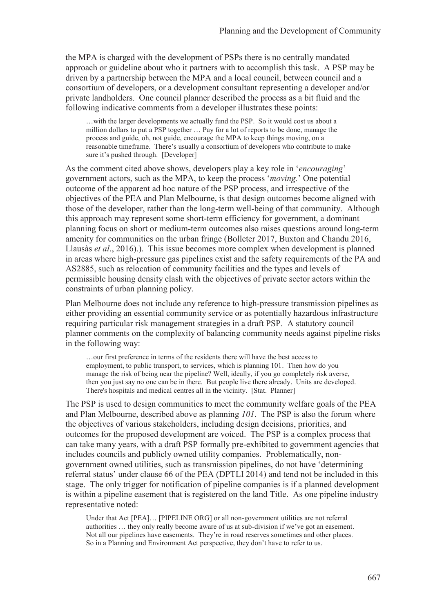the MPA is charged with the development of PSPs there is no centrally mandated approach or guideline about who it partners with to accomplish this task. A PSP may be driven by a partnership between the MPA and a local council, between council and a consortium of developers, or a development consultant representing a developer and/or private landholders. One council planner described the process as a bit fluid and the following indicative comments from a developer illustrates these points:

…with the larger developments we actually fund the PSP. So it would cost us about a million dollars to put a PSP together … Pay for a lot of reports to be done, manage the process and guide, oh, not guide, encourage the MPA to keep things moving, on a reasonable timeframe. There's usually a consortium of developers who contribute to make sure it's pushed through. [Developer]

As the comment cited above shows, developers play a key role in '*encouraging*' government actors, such as the MPA, to keep the process '*moving.*' One potential outcome of the apparent ad hoc nature of the PSP process, and irrespective of the objectives of the PEA and Plan Melbourne, is that design outcomes become aligned with those of the developer, rather than the long-term well-being of that community. Although this approach may represent some short-term efficiency for government, a dominant planning focus on short or medium-term outcomes also raises questions around long-term amenity for communities on the urban fringe (Bolleter 2017, Buxton and Chandu 2016, Llausàs *et al*., 2016).). This issue becomes more complex when development is planned in areas where high-pressure gas pipelines exist and the safety requirements of the PA and AS2885, such as relocation of community facilities and the types and levels of permissible housing density clash with the objectives of private sector actors within the constraints of urban planning policy.

Plan Melbourne does not include any reference to high-pressure transmission pipelines as either providing an essential community service or as potentially hazardous infrastructure requiring particular risk management strategies in a draft PSP. A statutory council planner comments on the complexity of balancing community needs against pipeline risks in the following way:

…our first preference in terms of the residents there will have the best access to employment, to public transport, to services, which is planning 101. Then how do you manage the risk of being near the pipeline? Well, ideally, if you go completely risk averse, then you just say no one can be in there. But people live there already. Units are developed. There's hospitals and medical centres all in the vicinity. [Stat. Planner]

The PSP is used to design communities to meet the community welfare goals of the PEA and Plan Melbourne, described above as planning *101*. The PSP is also the forum where the objectives of various stakeholders, including design decisions, priorities, and outcomes for the proposed development are voiced. The PSP is a complex process that can take many years, with a draft PSP formally pre-exhibited to government agencies that includes councils and publicly owned utility companies. Problematically, nongovernment owned utilities, such as transmission pipelines, do not have 'determining referral status' under clause 66 of the PEA (DPTLI 2014) and tend not be included in this stage. The only trigger for notification of pipeline companies is if a planned development is within a pipeline easement that is registered on the land Title. As one pipeline industry representative noted:

Under that Act [PEA]… [PIPELINE ORG] or all non-government utilities are not referral authorities … they only really become aware of us at sub-division if we've got an easement. Not all our pipelines have easements. They're in road reserves sometimes and other places. So in a Planning and Environment Act perspective, they don't have to refer to us.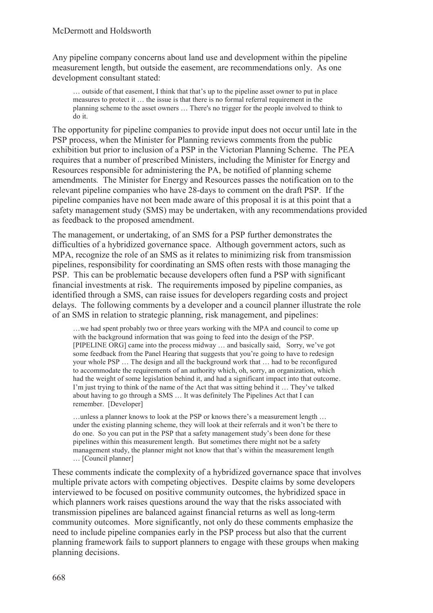Any pipeline company concerns about land use and development within the pipeline measurement length, but outside the easement, are recommendations only. As one development consultant stated:

… outside of that easement, I think that that's up to the pipeline asset owner to put in place measures to protect it … the issue is that there is no formal referral requirement in the planning scheme to the asset owners … There's no trigger for the people involved to think to do it.

The opportunity for pipeline companies to provide input does not occur until late in the PSP process, when the Minister for Planning reviews comments from the public exhibition but prior to inclusion of a PSP in the Victorian Planning Scheme. The PEA requires that a number of prescribed Ministers, including the Minister for Energy and Resources responsible for administering the PA, be notified of planning scheme amendments*.* The Minister for Energy and Resources passes the notification on to the relevant pipeline companies who have 28-days to comment on the draft PSP. If the pipeline companies have not been made aware of this proposal it is at this point that a safety management study (SMS) may be undertaken, with any recommendations provided as feedback to the proposed amendment.

The management, or undertaking, of an SMS for a PSP further demonstrates the difficulties of a hybridized governance space. Although government actors, such as MPA, recognize the role of an SMS as it relates to minimizing risk from transmission pipelines, responsibility for coordinating an SMS often rests with those managing the PSP. This can be problematic because developers often fund a PSP with significant financial investments at risk. The requirements imposed by pipeline companies, as identified through a SMS, can raise issues for developers regarding costs and project delays. The following comments by a developer and a council planner illustrate the role of an SMS in relation to strategic planning, risk management, and pipelines:

…we had spent probably two or three years working with the MPA and council to come up with the background information that was going to feed into the design of the PSP. [PIPELINE ORG] came into the process midway … and basically said, Sorry, we've got some feedback from the Panel Hearing that suggests that you're going to have to redesign your whole PSP … The design and all the background work that … had to be reconfigured to accommodate the requirements of an authority which, oh, sorry, an organization, which had the weight of some legislation behind it, and had a significant impact into that outcome. I'm just trying to think of the name of the Act that was sitting behind it … They've talked about having to go through a SMS … It was definitely The Pipelines Act that I can remember. [Developer]

…unless a planner knows to look at the PSP or knows there's a measurement length … under the existing planning scheme, they will look at their referrals and it won't be there to do one. So you can put in the PSP that a safety management study's been done for these pipelines within this measurement length. But sometimes there might not be a safety management study, the planner might not know that that's within the measurement length … [Council planner]

These comments indicate the complexity of a hybridized governance space that involves multiple private actors with competing objectives. Despite claims by some developers interviewed to be focused on positive community outcomes, the hybridized space in which planners work raises questions around the way that the risks associated with transmission pipelines are balanced against financial returns as well as long-term community outcomes. More significantly, not only do these comments emphasize the need to include pipeline companies early in the PSP process but also that the current planning framework fails to support planners to engage with these groups when making planning decisions.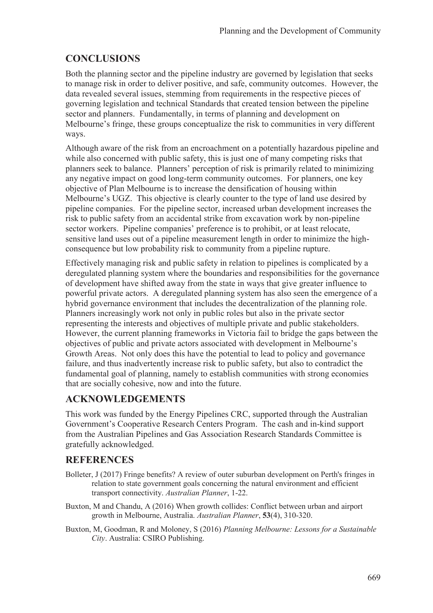# **CONCLUSIONS**

Both the planning sector and the pipeline industry are governed by legislation that seeks to manage risk in order to deliver positive, and safe, community outcomes. However, the data revealed several issues, stemming from requirements in the respective pieces of governing legislation and technical Standards that created tension between the pipeline sector and planners. Fundamentally, in terms of planning and development on Melbourne's fringe, these groups conceptualize the risk to communities in very different ways.

Although aware of the risk from an encroachment on a potentially hazardous pipeline and while also concerned with public safety, this is just one of many competing risks that planners seek to balance. Planners' perception of risk is primarily related to minimizing any negative impact on good long-term community outcomes. For planners, one key objective of Plan Melbourne is to increase the densification of housing within Melbourne's UGZ. This objective is clearly counter to the type of land use desired by pipeline companies. For the pipeline sector, increased urban development increases the risk to public safety from an accidental strike from excavation work by non-pipeline sector workers. Pipeline companies' preference is to prohibit, or at least relocate, sensitive land uses out of a pipeline measurement length in order to minimize the highconsequence but low probability risk to community from a pipeline rupture.

Effectively managing risk and public safety in relation to pipelines is complicated by a deregulated planning system where the boundaries and responsibilities for the governance of development have shifted away from the state in ways that give greater influence to powerful private actors. A deregulated planning system has also seen the emergence of a hybrid governance environment that includes the decentralization of the planning role. Planners increasingly work not only in public roles but also in the private sector representing the interests and objectives of multiple private and public stakeholders. However, the current planning frameworks in Victoria fail to bridge the gaps between the objectives of public and private actors associated with development in Melbourne's Growth Areas. Not only does this have the potential to lead to policy and governance failure, and thus inadvertently increase risk to public safety, but also to contradict the fundamental goal of planning, namely to establish communities with strong economies that are socially cohesive, now and into the future.

## **ACKNOWLEDGEMENTS**

This work was funded by the Energy Pipelines CRC, supported through the Australian Government's Cooperative Research Centers Program. The cash and in-kind support from the Australian Pipelines and Gas Association Research Standards Committee is gratefully acknowledged.

# **REFERENCES**

- Bolleter, J (2017) Fringe benefits? A review of outer suburban development on Perth's fringes in relation to state government goals concerning the natural environment and efficient transport connectivity. *Australian Planner*, 1-22.
- Buxton, M and Chandu, A (2016) When growth collides: Conflict between urban and airport growth in Melbourne, Australia. *Australian Planner*, **53**(4), 310-320.
- Buxton, M, Goodman, R and Moloney, S (2016) *Planning Melbourne: Lessons for a Sustainable City*. Australia: CSIRO Publishing.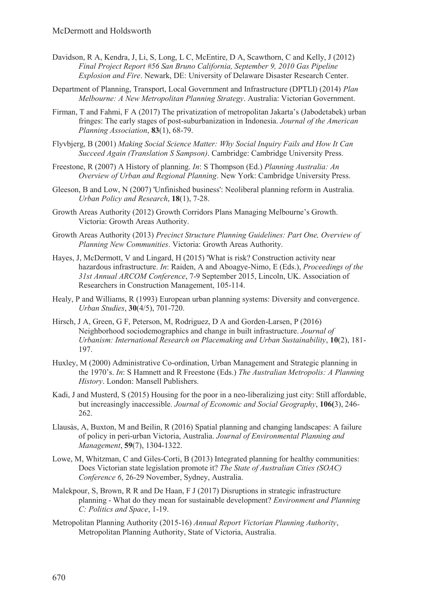- Davidson, R A, Kendra, J, Li, S, Long, L C, McEntire, D A, Scawthorn, C and Kelly, J (2012) *Final Project Report #56 San Bruno California, September 9, 2010 Gas Pipeline Explosion and Fire*. Newark, DE: University of Delaware Disaster Research Center.
- Department of Planning, Transport, Local Government and Infrastructure (DPTLI) (2014) *Plan Melbourne: A New Metropolitan Planning Strategy*. Australia: Victorian Government.
- Firman, T and Fahmi, F A (2017) The privatization of metropolitan Jakarta's (Jabodetabek) urban fringes: The early stages of post-suburbanization in Indonesia. *Journal of the American Planning Association*, **83**(1), 68-79.
- Flyvbjerg, B (2001) *Making Social Science Matter: Why Social Inquiry Fails and How It Can Succeed Again (Translation S Sampson)*. Cambridge: Cambridge University Press.
- Freestone, R (2007) A History of planning. *In*: S Thompson (Ed.) *Planning Australia: An Overview of Urban and Regional Planning*. New York: Cambridge University Press.
- Gleeson, B and Low, N (2007) 'Unfinished business': Neoliberal planning reform in Australia. *Urban Policy and Research*, **18**(1), 7-28.
- Growth Areas Authority (2012) Growth Corridors Plans Managing Melbourne's Growth. Victoria: Growth Areas Authority.
- Growth Areas Authority (2013) *Precinct Structure Planning Guidelines: Part One, Overview of Planning New Communities*. Victoria: Growth Areas Authority.
- Hayes, J, McDermott, V and Lingard, H (2015) 'What is risk? Construction activity near hazardous infrastructure. *In*: Raiden, A and Aboagye-Nimo, E (Eds.), *Proceedings of the 31st Annual ARCOM Conference*, 7-9 September 2015, Lincoln, UK. Association of Researchers in Construction Management, 105-114.
- Healy, P and Williams, R (1993) European urban planning systems: Diversity and convergence. *Urban Studies*, **30**(4/5), 701-720.
- Hirsch, J A, Green, G F, Peterson, M, Rodriguez, D A and Gorden-Larsen, P (2016) Neighborhood sociodemographics and change in built infrastructure. *Journal of Urbanism: International Research on Placemaking and Urban Sustainability*, **10**(2), 181- 197.
- Huxley, M (2000) Administrative Co-ordination, Urban Management and Strategic planning in the 1970's. *In*: S Hamnett and R Freestone (Eds.) *The Australian Metropolis: A Planning History*. London: Mansell Publishers.
- Kadi, J and Musterd, S (2015) Housing for the poor in a neo-liberalizing just city: Still affordable, but increasingly inaccessible. *Journal of Economic and Social Geography*, **106(**3), 246- 262.
- Llausàs, A, Buxton, M and Beilin, R (2016) Spatial planning and changing landscapes: A failure of policy in peri-urban Victoria, Australia. *Journal of Environmental Planning and Management*, **59**(7), 1304-1322.
- Lowe, M, Whitzman, C and Giles-Corti, B (2013) Integrated planning for healthy communities: Does Victorian state legislation promote it? *The State of Australian Cities (SOAC) Conference 6*, 26-29 November, Sydney, Australia.
- Malekpour, S, Brown, R R and De Haan, F J (2017) Disruptions in strategic infrastructure planning - What do they mean for sustainable development? *Environment and Planning C: Politics and Space*, 1-19.
- Metropolitan Planning Authority (2015-16) *Annual Report Victorian Planning Authority*, Metropolitan Planning Authority, State of Victoria, Australia.